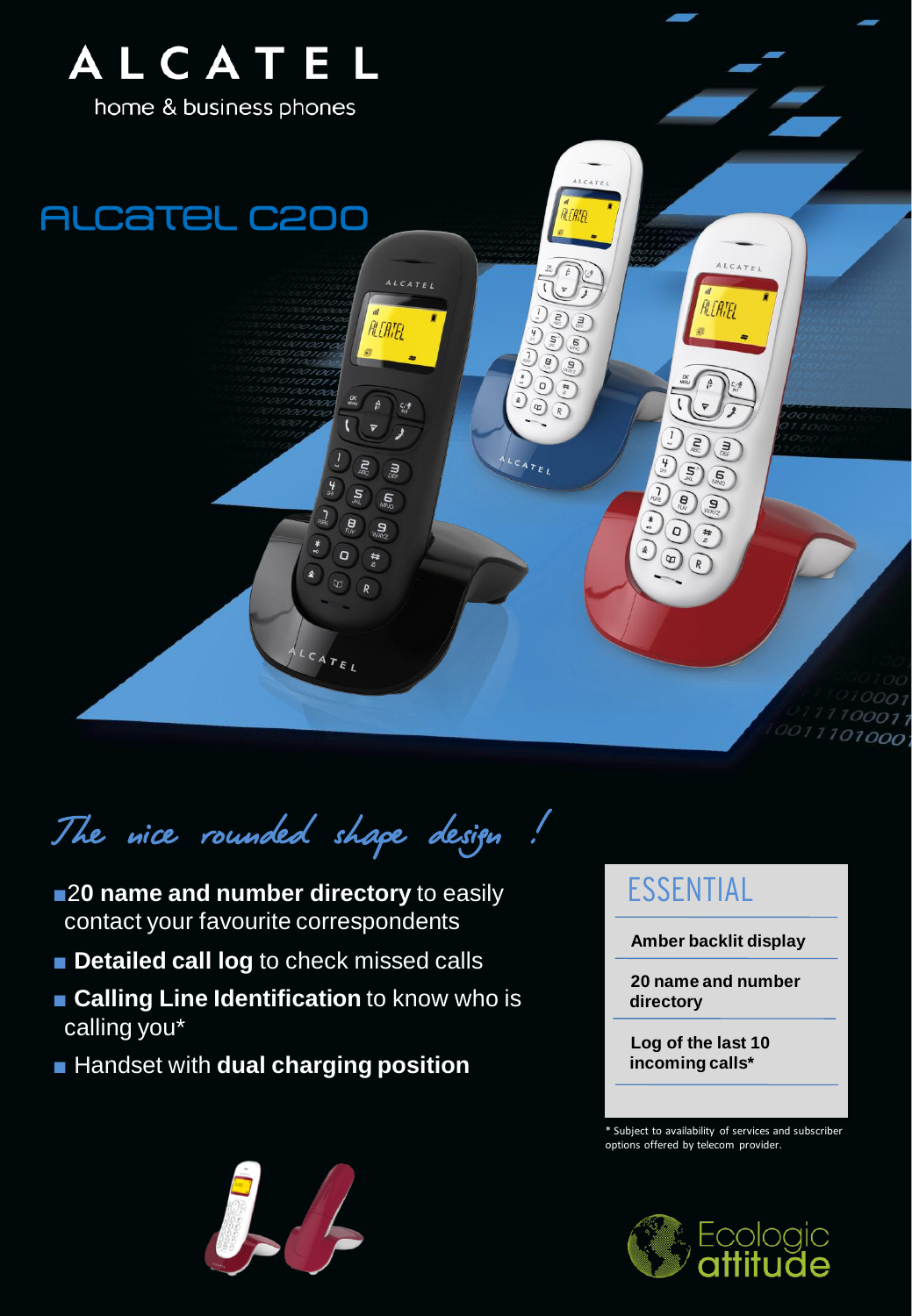

The nice rounded shape design!

- ■**20 name and number directory** to easily contact your favourite correspondents
- **Detailed call log** to check missed calls
- **Calling Line Identification** to know who is calling you\*
- Handset with **dual charging position**

## ESSENTIAL

**Amber backlit display**

**20 name and number directory**

**Log of the last 10 incoming calls\***

\* Subject to availability of services and subscriber options offered by telecom provider.